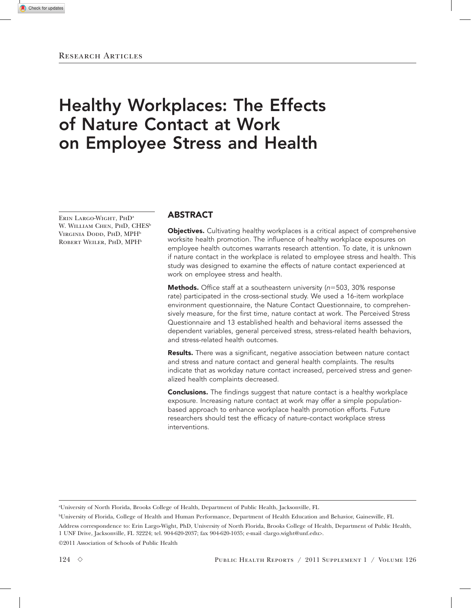# Healthy Workplaces: The Effects of Nature Contact at Work on Employee Stress and Health

Erin Largo-Wight, PhDa W. WILLIAM CHEN, PHD, CHES<sup>b</sup> VIRGINIA DODD, PHD, MPH<sup>b</sup> ROBERT WEILER, PHD, MPH<sup>b</sup>

# ABSTRACT

Objectives. Cultivating healthy workplaces is a critical aspect of comprehensive worksite health promotion. The influence of healthy workplace exposures on employee health outcomes warrants research attention. To date, it is unknown if nature contact in the workplace is related to employee stress and health. This study was designed to examine the effects of nature contact experienced at work on employee stress and health.

Methods. Office staff at a southeastern university (n=503, 30% response rate) participated in the cross-sectional study. We used a 16-item workplace environment questionnaire, the Nature Contact Questionnaire, to comprehensively measure, for the first time, nature contact at work. The Perceived Stress Questionnaire and 13 established health and behavioral items assessed the dependent variables, general perceived stress, stress-related health behaviors, and stress-related health outcomes.

**Results.** There was a significant, negative association between nature contact and stress and nature contact and general health complaints. The results indicate that as workday nature contact increased, perceived stress and generalized health complaints decreased.

**Conclusions.** The findings suggest that nature contact is a healthy workplace exposure. Increasing nature contact at work may offer a simple populationbased approach to enhance workplace health promotion efforts. Future researchers should test the efficacy of nature-contact workplace stress interventions.

a University of North Florida, Brooks College of Health, Department of Public Health, Jacksonville, FL

b University of Florida, College of Health and Human Performance, Department of Health Education and Behavior, Gainesville, FL Address correspondence to: Erin Largo-Wight, PhD, University of North Florida, Brooks College of Health, Department of Public Health, 1 UNF Drive, Jacksonville, FL 32224; tel. 904-620-2037; fax 904-620-1035; e-mail <largo.wight@unf.edu>.

©2011 Association of Schools of Public Health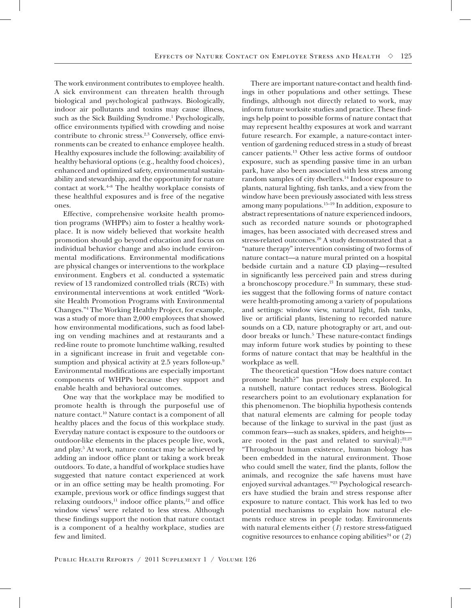The work environment contributes to employee health. A sick environment can threaten health through biological and psychological pathways. Biologically, indoor air pollutants and toxins may cause illness, such as the Sick Building Syndrome.<sup>1</sup> Psychologically, office environments typified with crowding and noise contribute to chronic stress.<sup>2,3</sup> Conversely, office environments can be created to enhance employee health. Healthy exposures include the following: availability of healthy behavioral options (e.g., healthy food choices), enhanced and optimized safety, environmental sustainability and stewardship, and the opportunity for nature contact at work.4–8 The healthy workplace consists of these healthful exposures and is free of the negative ones.

Effective, comprehensive worksite health promotion programs (WHPPs) aim to foster a healthy workplace. It is now widely believed that worksite health promotion should go beyond education and focus on individual behavior change and also include environmental modifications. Environmental modifications are physical changes or interventions to the workplace environment. Engbers et al. conducted a systematic review of 13 randomized controlled trials (RCTs) with environmental interventions at work entitled "Worksite Health Promotion Programs with Environmental Changes."4 The Working Healthy Project, for example, was a study of more than 2,000 employees that showed how environmental modifications, such as food labeling on vending machines and at restaurants and a red-line route to promote lunchtime walking, resulted in a significant increase in fruit and vegetable consumption and physical activity at 2.5 years follow-up.<sup>9</sup> Environmental modifications are especially important components of WHPPs because they support and enable health and behavioral outcomes.

One way that the workplace may be modified to promote health is through the purposeful use of nature contact.10 Nature contact is a component of all healthy places and the focus of this workplace study. Everyday nature contact is exposure to the outdoors or outdoor-like elements in the places people live, work, and play.<sup>5</sup> At work, nature contact may be achieved by adding an indoor office plant or taking a work break outdoors. To date, a handful of workplace studies have suggested that nature contact experienced at work or in an office setting may be health promoting. For example, previous work or office findings suggest that relaxing outdoors, $11$  indoor office plants, $12$  and office window views<sup>7</sup> were related to less stress. Although these findings support the notion that nature contact is a component of a healthy workplace, studies are few and limited.

There are important nature-contact and health findings in other populations and other settings. These findings, although not directly related to work, may inform future worksite studies and practice. These findings help point to possible forms of nature contact that may represent healthy exposures at work and warrant future research. For example, a nature-contact intervention of gardening reduced stress in a study of breast cancer patients.13 Other less active forms of outdoor exposure, such as spending passive time in an urban park, have also been associated with less stress among random samples of city dwellers.<sup>14</sup> Indoor exposure to plants, natural lighting, fish tanks, and a view from the window have been previously associated with less stress among many populations.15–19 In addition, exposure to abstract representations of nature experienced indoors, such as recorded nature sounds or photographed images, has been associated with decreased stress and stress-related outcomes.<sup>20</sup> A study demonstrated that a "nature therapy" intervention consisting of two forms of nature contact—a nature mural printed on a hospital bedside curtain and a nature CD playing—resulted in significantly less perceived pain and stress during a bronchoscopy procedure.<sup>21</sup> In summary, these studies suggest that the following forms of nature contact were health-promoting among a variety of populations and settings: window view, natural light, fish tanks, live or artificial plants, listening to recorded nature sounds on a CD, nature photography or art, and outdoor breaks or lunch.<sup>5</sup> These nature-contact findings may inform future work studies by pointing to these forms of nature contact that may be healthful in the workplace as well.

The theoretical question "How does nature contact promote health?" has previously been explored. In a nutshell, nature contact reduces stress. Biological researchers point to an evolutionary explanation for this phenomenon. The biophilia hypothesis contends that natural elements are calming for people today because of the linkage to survival in the past (just as common fears—such as snakes, spiders, and heights are rooted in the past and related to survival): $22,23$ "Throughout human existence, human biology has been embedded in the natural environment. Those who could smell the water, find the plants, follow the animals, and recognize the safe havens must have enjoyed survival advantages."23 Psychological researchers have studied the brain and stress response after exposure to nature contact. This work has led to two potential mechanisms to explain how natural elements reduce stress in people today. Environments with natural elements either (*1*) restore stress-fatigued cognitive resources to enhance coping abilities<sup>24</sup> or  $(2)$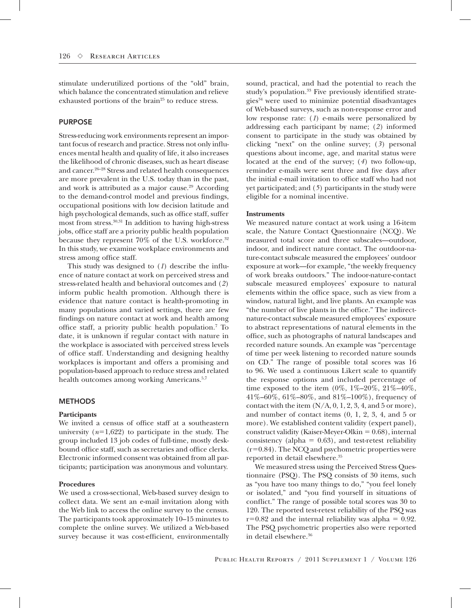stimulate underutilized portions of the "old" brain, which balance the concentrated stimulation and relieve exhausted portions of the brain<sup>25</sup> to reduce stress.

## PURPOSE

Stress-reducing work environments represent an important focus of research and practice. Stress not only influences mental health and quality of life, it also increases the likelihood of chronic diseases, such as heart disease and cancer.26–28 Stress and related health consequences are more prevalent in the U.S. today than in the past, and work is attributed as a major cause.<sup>29</sup> According to the demand-control model and previous findings, occupational positions with low decision latitude and high psychological demands, such as office staff, suffer most from stress.30,31 In addition to having high-stress jobs, office staff are a priority public health population because they represent 70% of the U.S. workforce.32 In this study, we examine workplace environments and stress among office staff.

This study was designed to (*1*) describe the influence of nature contact at work on perceived stress and stress-related health and behavioral outcomes and (*2*) inform public health promotion. Although there is evidence that nature contact is health-promoting in many populations and varied settings, there are few findings on nature contact at work and health among office staff, a priority public health population.7 To date, it is unknown if regular contact with nature in the workplace is associated with perceived stress levels of office staff. Understanding and designing healthy workplaces is important and offers a promising and population-based approach to reduce stress and related health outcomes among working Americans.<sup>5,7</sup>

#### **METHODS**

## **Participants**

We invited a census of office staff at a southeastern university  $(n=1,622)$  to participate in the study. The group included 13 job codes of full-time, mostly deskbound office staff, such as secretaries and office clerks. Electronic informed consent was obtained from all participants; participation was anonymous and voluntary.

## **Procedures**

We used a cross-sectional, Web-based survey design to collect data. We sent an e-mail invitation along with the Web link to access the online survey to the census. The participants took approximately 10–15 minutes to complete the online survey. We utilized a Web-based survey because it was cost-efficient, environmentally sound, practical, and had the potential to reach the study's population.<sup>33</sup> Five previously identified strate $gies<sup>34</sup>$  were used to minimize potential disadvantages of Web-based surveys, such as non-response error and low response rate: (*1*) e-mails were personalized by addressing each participant by name; (*2*) informed consent to participate in the study was obtained by clicking "next" on the online survey; (*3*) personal questions about income, age, and marital status were located at the end of the survey; (*4*) two follow-up, reminder e-mails were sent three and five days after the initial e-mail invitation to office staff who had not yet participated; and (*5*) participants in the study were eligible for a nominal incentive.

#### **Instruments**

We measured nature contact at work using a 16-item scale, the Nature Contact Questionnaire (NCQ). We measured total score and three subscales—outdoor, indoor, and indirect nature contact. The outdoor-nature-contact subscale measured the employees' outdoor exposure at work—for example, "the weekly frequency of work breaks outdoors." The indoor-nature-contact subscale measured employees' exposure to natural elements within the office space, such as view from a window, natural light, and live plants. An example was "the number of live plants in the office." The indirectnature-contact subscale measured employees' exposure to abstract representations of natural elements in the office, such as photographs of natural landscapes and recorded nature sounds. An example was "percentage of time per week listening to recorded nature sounds on CD." The range of possible total scores was 16 to 96. We used a continuous Likert scale to quantify the response options and included percentage of time exposed to the item  $(0\%, 1\% - 20\%, 21\% - 40\%,$  $41\% - 60\%$ ,  $61\% - 80\%$ , and  $81\% - 100\%$ ), frequency of contact with the item  $(N/A, 0, 1, 2, 3, 4,$  and 5 or more), and number of contact items (0, 1, 2, 3, 4, and 5 or more). We established content validity (expert panel), construct validity (Kaiser-Meyer-Olkin  $= 0.68$ ), internal consistency (alpha =  $0.63$ ), and test-retest reliability  $(r=0.84)$ . The NCQ and psychometric properties were reported in detail elsewhere.35

We measured stress using the Perceived Stress Questionnaire (PSQ). The PSQ consists of 30 items, such as "you have too many things to do," "you feel lonely or isolated," and "you find yourself in situations of conflict." The range of possible total scores was 30 to 120. The reported test-retest reliability of the PSQ was  $r=0.82$  and the internal reliability was alpha = 0.92. The PSQ psychometric properties also were reported in detail elsewhere.36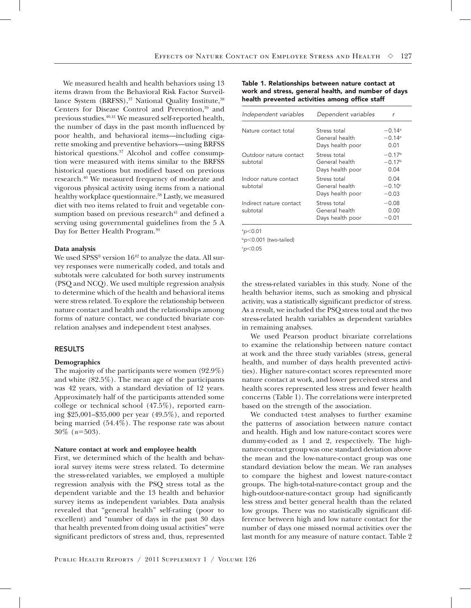We measured health and health behaviors using 13 items drawn from the Behavioral Risk Factor Surveillance System  $(BRFSS)$ ,<sup>37</sup> National Quality Institute,  $38$ Centers for Disease Control and Prevention,<sup>39</sup> and previous studies.40,41 We measured self-reported health, the number of days in the past month influenced by poor health, and behavioral items—including cigarette smoking and preventive behaviors—using BRFSS historical questions.<sup>37</sup> Alcohol and coffee consumption were measured with items similar to the BRFSS historical questions but modified based on previous research.40 We measured frequency of moderate and vigorous physical activity using items from a national healthy workplace questionnaire.<sup>38</sup> Lastly, we measured diet with two items related to fruit and vegetable consumption based on previous research<sup>41</sup> and defined a serving using governmental guidelines from the 5 A Day for Better Health Program.39

## **Data analysis**

We used SPSS® version  $16^{42}$  to analyze the data. All survey responses were numerically coded, and totals and subtotals were calculated for both survey instruments (PSQ and NCQ). We used multiple regression analysis to determine which of the health and behavioral items were stress related. To explore the relationship between nature contact and health and the relationships among forms of nature contact, we conducted bivariate correlation analyses and independent t-test analyses.

## RESULTS

## **Demographics**

The majority of the participants were women (92.9%) and white (82.5%). The mean age of the participants was 42 years, with a standard deviation of 12 years. Approximately half of the participants attended some college or technical school (47.5%), reported earning \$25,001–\$35,000 per year (49.5%), and reported being married (54.4%). The response rate was about  $30\%$  ( $n=503$ ).

#### **Nature contact at work and employee health**

First, we determined which of the health and behavioral survey items were stress related. To determine the stress-related variables, we employed a multiple regression analysis with the PSQ stress total as the dependent variable and the 13 health and behavior survey items as independent variables. Data analysis revealed that "general health" self-rating (poor to excellent) and "number of days in the past 30 days that health prevented from doing usual activities" were significant predictors of stress and, thus, represented

## Table 1. Relationships between nature contact at work and stress, general health, and number of days health prevented activities among office staff

| Independent variables               | Dependent variables                                | r                                                    |
|-------------------------------------|----------------------------------------------------|------------------------------------------------------|
| Nature contact total                | Stress total<br>General health<br>Days health poor | $-0.14$ <sup>a</sup><br>$-0.14$ <sup>a</sup><br>0.01 |
| Outdoor nature contact<br>subtotal  | Stress total<br>General health<br>Days health poor | $-0.17b$<br>$-0.17b$<br>0.04                         |
| Indoor nature contact<br>subtotal   | Stress total<br>General health<br>Days health poor | 0.04<br>$-0.10c$<br>$-0.03$                          |
| Indirect nature contact<br>subtotal | Stress total<br>General health<br>Days health poor | $-0.08$<br>0.00<br>$-0.01$                           |

a *p*,0.01

b<sub>p</sub><0.001 (two-tailed)

c *p*,0.05

the stress-related variables in this study. None of the health behavior items, such as smoking and physical activity, was a statistically significant predictor of stress. As a result, we included the PSQ stress total and the two stress-related health variables as dependent variables in remaining analyses.

We used Pearson product bivariate correlations to examine the relationship between nature contact at work and the three study variables (stress, general health, and number of days health prevented activities). Higher nature-contact scores represented more nature contact at work, and lower perceived stress and health scores represented less stress and fewer health concerns (Table 1). The correlations were interpreted based on the strength of the association.

We conducted t-test analyses to further examine the patterns of association between nature contact and health. High and low nature-contact scores were dummy-coded as 1 and 2, respectively. The highnature-contact group was one standard deviation above the mean and the low-nature-contact group was one standard deviation below the mean. We ran analyses to compare the highest and lowest nature-contact groups. The high-total-nature-contact group and the high-outdoor-nature-contact group had significantly less stress and better general health than the related low groups. There was no statistically significant difference between high and low nature contact for the number of days one missed normal activities over the last month for any measure of nature contact. Table 2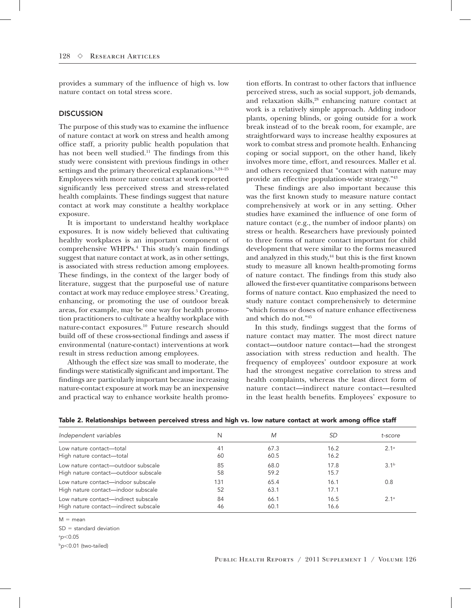provides a summary of the influence of high vs. low nature contact on total stress score.

## **DISCUSSION**

The purpose of this study was to examine the influence of nature contact at work on stress and health among office staff, a priority public health population that has not been well studied.<sup>11</sup> The findings from this study were consistent with previous findings in other settings and the primary theoretical explanations.<sup>5,24-25</sup> Employees with more nature contact at work reported significantly less perceived stress and stress-related health complaints. These findings suggest that nature contact at work may constitute a healthy workplace exposure.

It is important to understand healthy workplace exposures. It is now widely believed that cultivating healthy workplaces is an important component of comprehensive WHPPs.4 This study's main findings suggest that nature contact at work, as in other settings, is associated with stress reduction among employees. These findings, in the context of the larger body of literature, suggest that the purposeful use of nature contact at work may reduce employee stress.<sup>5</sup> Creating, enhancing, or promoting the use of outdoor break areas, for example, may be one way for health promotion practitioners to cultivate a healthy workplace with nature-contact exposures.10 Future research should build off of these cross-sectional findings and assess if environmental (nature-contact) interventions at work result in stress reduction among employees.

Although the effect size was small to moderate, the findings were statistically significant and important. The findings are particularly important because increasing nature-contact exposure at work may be an inexpensive and practical way to enhance worksite health promo-

tion efforts. In contrast to other factors that influence perceived stress, such as social support, job demands, and relaxation skills,<sup>28</sup> enhancing nature contact at work is a relatively simple approach. Adding indoor plants, opening blinds, or going outside for a work break instead of to the break room, for example, are straightforward ways to increase healthy exposures at work to combat stress and promote health. Enhancing coping or social support, on the other hand, likely involves more time, effort, and resources. Maller et al. and others recognized that "contact with nature may provide an effective population-wide strategy."43

These findings are also important because this was the first known study to measure nature contact comprehensively at work or in any setting. Other studies have examined the influence of one form of nature contact (e.g., the number of indoor plants) on stress or health. Researchers have previously pointed to three forms of nature contact important for child development that were similar to the forms measured and analyzed in this study,<sup>44</sup> but this is the first known study to measure all known health-promoting forms of nature contact. The findings from this study also allowed the first-ever quantitative comparisons between forms of nature contact. Kuo emphasized the need to study nature contact comprehensively to determine "which forms or doses of nature enhance effectiveness and which do not."45

In this study, findings suggest that the forms of nature contact may matter. The most direct nature contact—outdoor nature contact—had the strongest association with stress reduction and health. The frequency of employees' outdoor exposure at work had the strongest negative correlation to stress and health complaints, whereas the least direct form of nature contact—indirect nature contact—resulted in the least health benefits. Employees' exposure to

| Independent variables                 | N   | M    |      | t-score          |
|---------------------------------------|-----|------|------|------------------|
| Low nature contact-total              | 41  | 67.3 | 16.2 | 2.1 <sup>a</sup> |
| High nature contact-total             | 60  | 60.5 | 16.2 |                  |
| Low nature contact-outdoor subscale   | 85  | 68.0 | 17.8 | 3.1 <sup>b</sup> |
| High nature contact—outdoor subscale  | 58  | 59.2 | 15.7 |                  |
| Low nature contact—indoor subscale    | 131 | 65.4 | 16.1 | 0.8              |
| High nature contact—indoor subscale   | 52  | 63.1 | 17.1 |                  |
| Low nature contact—indirect subscale  | 84  | 66.1 | 16.5 | 2.1 <sup>a</sup> |
| High nature contact-indirect subscale | 46  | 60.1 | 16.6 |                  |

|  |  | Table 2. Relationships between perceived stress and high vs. low nature contact at work among office staff |  |  |  |
|--|--|------------------------------------------------------------------------------------------------------------|--|--|--|
|--|--|------------------------------------------------------------------------------------------------------------|--|--|--|

 $M = mean$ 

 $SD = standard deviation$ 

a *p*,0.05

<sup>b</sup>*p*,0.01 (two-tailed)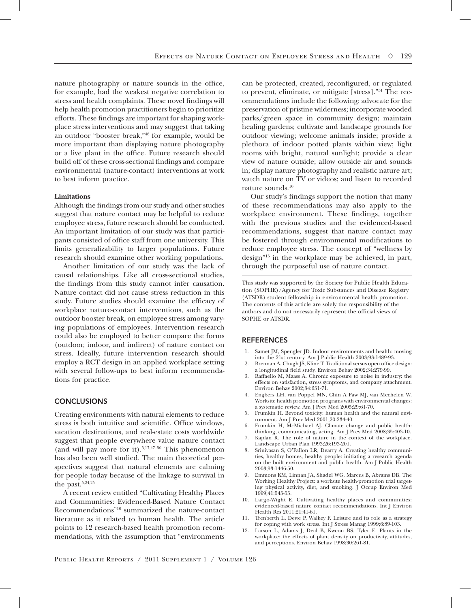nature photography or nature sounds in the office, for example, had the weakest negative correlation to stress and health complaints. These novel findings will help health promotion practitioners begin to prioritize efforts. These findings are important for shaping workplace stress interventions and may suggest that taking an outdoor "booster break,"46 for example, would be more important than displaying nature photography or a live plant in the office. Future research should build off of these cross-sectional findings and compare environmental (nature-contact) interventions at work to best inform practice.

#### **Limitations**

Although the findings from our study and other studies suggest that nature contact may be helpful to reduce employee stress, future research should be conducted. An important limitation of our study was that participants consisted of office staff from one university. This limits generalizability to larger populations. Future research should examine other working populations.

Another limitation of our study was the lack of causal relationships. Like all cross-sectional studies, the findings from this study cannot infer causation. Nature contact did not cause stress reduction in this study. Future studies should examine the efficacy of workplace nature-contact interventions, such as the outdoor booster break, on employee stress among varying populations of employees. Intervention research could also be employed to better compare the forms (outdoor, indoor, and indirect) of nature contact on stress. Ideally, future intervention research should employ a RCT design in an applied workplace setting with several follow-ups to best inform recommendations for practice.

## **CONCLUSIONS**

Creating environments with natural elements to reduce stress is both intuitive and scientific. Office windows, vacation destinations, and real-estate costs worldwide suggest that people everywhere value nature contact (and will pay more for it). $5,17,47-50$  This phenomenon has also been well studied. The main theoretical perspectives suggest that natural elements are calming for people today because of the linkage to survival in the past.<sup>5,24,25</sup>

A recent review entitled "Cultivating Healthy Places and Communities: Evidenced-Based Nature Contact Recommendations"10 summarized the nature-contact literature as it related to human health. The article points to 12 research-based health promotion recommendations, with the assumption that "environments can be protected, created, reconfigured, or regulated to prevent, eliminate, or mitigate [stress]."51 The recommendations include the following: advocate for the preservation of pristine wilderness; incorporate wooded parks/green space in community design; maintain healing gardens; cultivate and landscape grounds for outdoor viewing; welcome animals inside; provide a plethora of indoor potted plants within view; light rooms with bright, natural sunlight; provide a clear view of nature outside; allow outside air and sounds in; display nature photography and realistic nature art; watch nature on TV or videos; and listen to recorded nature sounds.10

Our study's findings support the notion that many of these recommendations may also apply to the workplace environment. These findings, together with the previous studies and the evidenced-based recommendations, suggest that nature contact may be fostered through environmental modifications to reduce employee stress. The concept of "wellness by design"15 in the workplace may be achieved, in part, through the purposeful use of nature contact.

This study was supported by the Society for Public Health Education (SOPHE)/Agency for Toxic Substances and Disease Registry (ATSDR) student fellowship in environmental health promotion. The contents of this article are solely the responsibility of the authors and do not necessarily represent the official views of SOPHE or ATSDR.

## **REFERENCES**

- 1. Samet JM, Spengler JD. Indoor environments and health: moving into the 21st century. Am J Public Health 2003;93:1489-93.
- 2. Brennan A, Chugh JS, Kline T. Traditional versus open office design: a longitudinal field study. Environ Behav 2002;34:279-99.
- Raffaello M, Maass A. Chronic exposure to noise in industry: the effects on satisfaction, stress symptoms, and company attachment. Environ Behav 2002;34:651-71.
- 4. Engbers LH, van Poppel MN, Chin A Paw MJ, van Mechelen W. Worksite health promotion programs with environmental changes: a systematic review. Am J Prev Med 2005;29:61-70.
- 5. Frumkin H. Beyond toxicity: human health and the natural environment. Am J Prev Med 2001;20:234-40.
- 6. Frumkin H, McMichael AJ. Climate change and public health: thinking, communicating, acting. Am J Prev Med 2008;35:403-10.
- 7. Kaplan R. The role of nature in the context of the workplace. Landscape Urban Plan 1993;26:193-201.
- 8. Srinivasan S, O'Fallon LR, Dearry A. Creating healthy communities, healthy homes, healthy people: initiating a research agenda on the built environment and public health. Am J Public Health 2003;93:1446-50.
- 9. Emmons KM, Linnan JA, Shadel WG, Marcus B, Abrams DB. The Working Healthy Project: a worksite health-promotion trial targeting physical activity, diet, and smoking. J Occup Environ Med 1999;41:545-55.
- 10. Largo-Wight E. Cultivating healthy places and communities: evidenced-based nature contact recommendations. Int J Environ Health Res 2011;21:41-61.
- 11. Trenberth L, Dewe P, Walkey F. Leisure and its role as a strategy for coping with work stress. Int J Stress Manag 1999;6:89-103.
- 12. Larson L, Adams J, Deal B, Kweon BS, Tyler E. Plants in the workplace: the effects of plant density on productivity, attitudes, and perceptions. Environ Behav 1998;30:261-81.